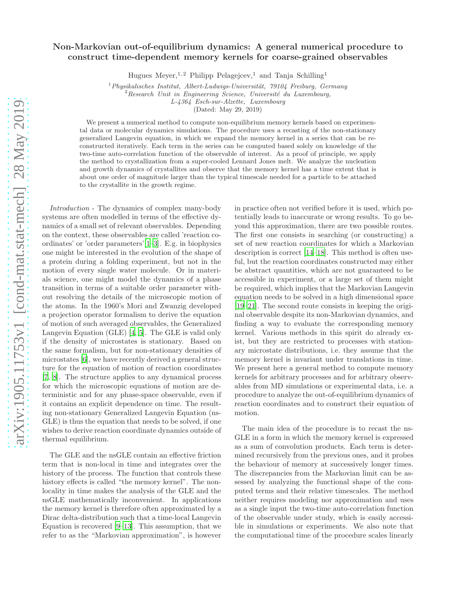## Non-Markovian out-of-equilibrium dynamics: A general numerical procedure to construct time-dependent memory kernels for coarse-grained observables

Hugues Meyer,<sup>1,2</sup> Philipp Pelagejcev,<sup>1</sup> and Tanja Schilling<sup>1</sup>

 $1$ Physikalisches Institut, Albert-Ludwigs-Universität, 79104 Freiburg, Germany

 $2$ Research Unit in Engineering Science, Université du Luxembourg,

L-4364 Esch-sur-Alzette, Luxembourg

(Dated: May 29, 2019)

We present a numerical method to compute non-equilibrium memory kernels based on experimental data or molecular dynamics simulations. The procedure uses a recasting of the non-stationary generalized Langevin equation, in which we expand the memory kernel in a series that can be reconstructed iteratively. Each term in the series can be computed based solely on knowledge of the two-time auto-correlation function of the observable of interest. As a proof of principle, we apply the method to crystallization from a super-cooled Lennard Jones melt. We analyze the nucleation and growth dynamics of crystallites and observe that the memory kernel has a time extent that is about one order of magnitude larger than the typical timescale needed for a particle to be attached to the crystallite in the growth regime.

Introduction - The dynamics of complex many-body systems are often modelled in terms of the effective dynamics of a small set of relevant observables. Depending on the context, these observables are called 'reaction coordinates' or 'order parameters'[\[1](#page-4-0)[–3](#page-4-1)]. E.g. in biophysics one might be interested in the evolution of the shape of a protein during a folding experiment, but not in the motion of every single water molecule. Or in materials science, one might model the dynamics of a phase transition in terms of a suitable order parameter without resolving the details of the microscopic motion of the atoms. In the 1960's Mori and Zwanzig developed a projection operator formalism to derive the equation of motion of such averaged observables, the Generalized Langevin Equation (GLE) [\[4](#page-4-2), [5\]](#page-4-3). The GLE is valid only if the density of microstates is stationary. Based on the same formalism, but for non-stationary densities of microstates [\[6](#page-4-4)], we have recently derived a general structure for the equation of motion of reaction coordinates [\[7](#page-4-5), [8\]](#page-4-6). The structure applies to any dynamical process for which the microscopic equations of motion are deterministic and for any phase-space observable, even if it contains an explicit dependence on time. The resulting non-stationary Generalized Langevin Equation (ns-GLE) is thus the equation that needs to be solved, if one wishes to derive reaction coordinate dynamics outside of thermal equilibrium.

The GLE and the nsGLE contain an effective friction term that is non-local in time and integrates over the history of the process. The function that controls these history effects is called "the memory kernel". The nonlocality in time makes the analysis of the GLE and the nsGLE mathematically inconvenient. In applications the memory kernel is therefore often approximated by a Dirac delta-distribution such that a time-local Langevin Equation is recovered [\[9](#page-4-7)[–13](#page-4-8)]. This assumption, that we refer to as the "Markovian approximation", is however in practice often not verified before it is used, which potentially leads to inaccurate or wrong results. To go beyond this approximation, there are two possible routes. The first one consists in searching (or constructing) a set of new reaction coordinates for which a Markovian description is correct [\[14](#page-4-9)[–18\]](#page-4-10). This method is often useful, but the reaction coordinates constructed may either be abstract quantities, which are not guaranteed to be accessible in experiment, or a large set of them might be required, which implies that the Markovian Langevin equation needs to be solved in a high dimensional space [\[19](#page-4-11)[–21\]](#page-4-12). The second route consists in keeping the original observable despite its non-Markovian dynamics, and finding a way to evaluate the corresponding memory kernel. Various methods in this spirit do already exist, but they are restricted to processes with stationary microstate distributions, i.e. they assume that the memory kernel is invariant under translations in time. We present here a general method to compute memory kernels for arbitrary processes and for arbitrary observables from MD simulations or experimental data, i.e. a procedure to analyze the out-of-equilibrium dynamics of reaction coordinates and to construct their equation of motion.

The main idea of the procedure is to recast the ns-GLE in a form in which the memory kernel is expressed as a sum of convolution products. Each term is determined recursively from the previous ones, and it probes the behaviour of memory at successively longer times. The discrepancies from the Markovian limit can be assessed by analyzing the functional shape of the computed terms and their relative timescales. The method neither requires modeling nor approximation and uses as a single input the two-time auto-correlation function of the observable under study, which is easily accessible in simulations or experiments. We also note that the computational time of the procedure scales linearly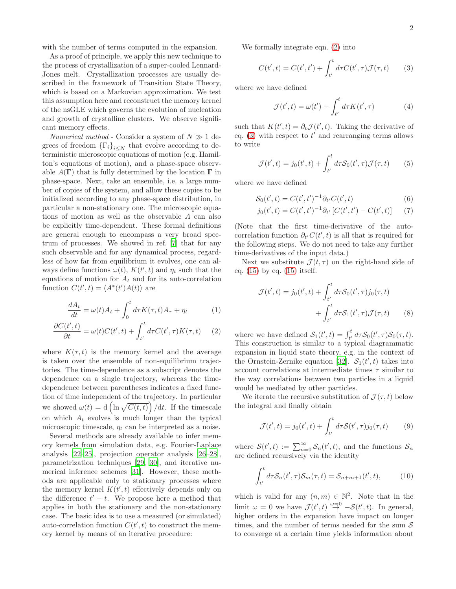with the number of terms computed in the expansion.

As a proof of principle, we apply this new technique to the process of crystallization of a super-cooled Lennard-Jones melt. Crystallization processes are usually described in the framework of Transition State Theory, which is based on a Markovian approximation. We test this assumption here and reconstruct the memory kernel of the nsGLE which governs the evolution of nucleation and growth of crystalline clusters. We observe significant memory effects.

*Numerical method* - Consider a system of  $N \gg 1$  degrees of freedom  $\{\Gamma_i\}_{i\leq N}$  that evolve according to deterministic microscopic equations of motion (e.g. Hamilton's equations of motion), and a phase-space observable  $A(\Gamma)$  that is fully determined by the location  $\Gamma$  in phase-space. Next, take an ensemble, i.e. a large number of copies of the system, and allow these copies to be initialized according to any phase-space distribution, in particular a non-stationary one. The microscopic equations of motion as well as the observable A can also be explicitly time-dependent. These formal definitions are general enough to encompass a very broad spectrum of processes. We showed in ref. [\[7](#page-4-5)] that for any such observable and for any dynamical process, regardless of how far from equilibrium it evolves, one can always define functions  $\omega(t)$ ,  $K(t', t)$  and  $\eta_t$  such that the equations of motion for  $A_t$  and for its auto-correlation function  $C(t', t) = \langle A^*(t')A(t) \rangle$  are

$$
\frac{dA_t}{dt} = \omega(t)A_t + \int_0^t d\tau K(\tau, t)A_\tau + \eta_t \tag{1}
$$

$$
\frac{\partial C(t',t)}{\partial t} = \omega(t)C(t',t) + \int_{t'}^{t} d\tau C(t',\tau)K(\tau,t) \tag{2}
$$

where  $K(\tau, t)$  is the memory kernel and the average is taken over the ensemble of non-equilibrium trajectories. The time-dependence as a subscript denotes the dependence on a single trajectory, whereas the timedependence between parentheses indicates a fixed function of time independent of the trajectory. In particular we showed  $\omega(t) = d \left( \ln \sqrt{C(t,t)} \right) / dt$ . If the timescale on which  $A_t$  evolves is much longer than the typical microscopic timescale,  $\eta_t$  can be interpreted as a noise.

Several methods are already available to infer memory kernels from simulation data, e.g. Fourier-Laplace analysis [\[22–](#page-4-13)[25\]](#page-4-14), projection operator analysis [\[26](#page-4-15)[–28\]](#page-4-16), parametrization techniques [\[29,](#page-4-17) [30\]](#page-4-18), and iterative numerical inference schemes [\[31\]](#page-4-19). However, these methods are applicable only to stationary processes where the memory kernel  $K(t', t)$  effectively depends only on the difference  $t' - t$ . We propose here a method that applies in both the stationary and the non-stationary case. The basic idea is to use a measured (or simulated) auto-correlation function  $C(t', t)$  to construct the memory kernel by means of an iterative procedure:

We formally integrate eqn. [\(2\)](#page-1-0) into

<span id="page-1-1"></span>
$$
C(t',t) = C(t',t') + \int_{t'}^{t} d\tau C(t',\tau) \mathcal{J}(\tau,t)
$$
 (3)

where we have defined

$$
\mathcal{J}(t',t) = \omega(t') + \int_{t'}^{t} d\tau K(t',\tau)
$$
 (4)

such that  $K(t', t) = \partial_t \mathcal{J}(t', t)$ . Taking the derivative of eq.  $(3)$  with respect to  $t'$  and rearranging terms allows to write

$$
\mathcal{J}(t',t) = j_0(t',t) + \int_{t'}^t d\tau \mathcal{S}_0(t',\tau) \mathcal{J}(\tau,t) \qquad (5)
$$

where we have defined

$$
S_0(t',t) = C(t',t')^{-1} \partial_{t'} C(t',t)
$$
\n
$$
(6)
$$

$$
j_0(t',t) = C(t',t')^{-1} \partial_{t'} \left[ C(t',t') - C(t',t) \right] \tag{7}
$$

(Note that the first time-derivative of the autocorrelation function  $\partial_{t'} C(t', t)$  is all that is required for the following steps. We do not need to take any further time-derivatives of the input data.)

Next we substitute  $\mathcal{J}(t, \tau)$  on the right-hand side of eq. [\(15\)](#page-5-0) by eq. [\(15\)](#page-5-0) itself.

$$
\mathcal{J}(t',t) = j_0(t',t) + \int_{t'}^t d\tau \mathcal{S}_0(t',\tau) j_0(\tau,t)
$$

$$
+ \int_{t'}^t d\tau \mathcal{S}_1(t',\tau) \mathcal{J}(\tau,t) \qquad (8)
$$

<span id="page-1-3"></span><span id="page-1-0"></span>where we have defined  $S_1(t',t) = \int_{t'}^t d\tau S_0(t',\tau) S_0(\tau,t)$ . This construction is similar to a typical diagrammatic expansion in liquid state theory, e.g. in the context of the Ornstein-Zernike equation [\[32\]](#page-4-20).  $S_1(t', t)$  takes into account correlations at intermediate times  $\tau$  similar to the way correlations between two particles in a liquid would be mediated by other particles.

We iterate the recursive substitution of  $\mathcal{J}(\tau, t)$  below the integral and finally obtain

$$
\mathcal{J}(t',t) = j_0(t',t) + \int_{t'}^t d\tau \mathcal{S}(t',\tau) j_0(\tau,t)
$$
 (9)

where  $S(t',t) := \sum_{n=0}^{\infty} S_n(t',t)$ , and the functions  $S_n$ are defined recursively via the identity

<span id="page-1-2"></span>
$$
\int_{t'}^{t} d\tau S_n(t',\tau) S_m(\tau,t) = S_{n+m+1}(t',t), \qquad (10)
$$

which is valid for any  $(n, m) \in \mathbb{N}^2$ . Note that in the limit  $\omega = 0$  we have  $\mathcal{J}(t', t) \stackrel{\omega = 0}{\rightarrow} -\mathcal{S}(t', t)$ . In general, higher orders in the expansion have impact on longer times, and the number of terms needed for the sum  $\mathcal S$ to converge at a certain time yields information about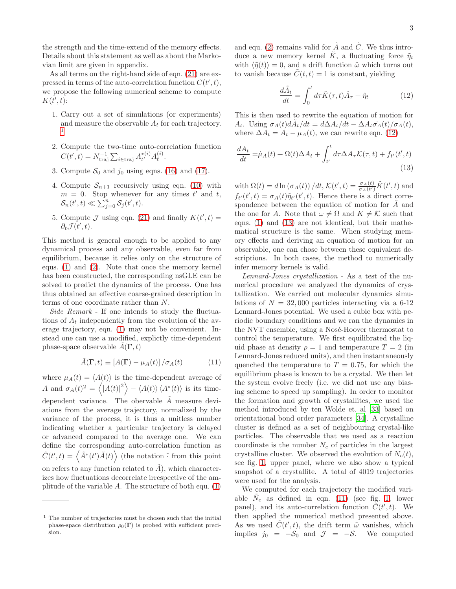the strength and the time-extend of the memory effects. Details about this statement as well as about the Markovian limit are given in appendix.

As all terms on the right-hand side of eqn. [\(21\)](#page-6-0) are expressed in terms of the auto-correlation function  $C(t', t)$ , we propose the following numerical scheme to compute  $K(t',t)$ :

- 1. Carry out a set of simulations (or experiments) and measure the observable  $A_t$  for each trajectory. [1](#page-2-0)
- 2. Compute the two-time auto-correlation function  $C(t', t) = N_{\text{traj}}^{-1} \sum_{i \in \text{traj}} A_{t'}^{*(i)}$  $_{t'}^{*(i)}A_t^{(i)}$ .
- 3. Compute  $S_0$  and  $j_0$  using eqns. [\(16\)](#page-5-1) and [\(17\)](#page-5-2).
- 4. Compute  $S_{n+1}$  recursively using eqn. [\(10\)](#page-1-2) with  $m = 0$ . Stop whenever for any times t' and t,  $\mathcal{S}_n(t',t) \ll \sum_{j=0}^n \mathcal{S}_j(t',t).$
- 5. Compute  $\mathcal J$  using eqn. [\(21\)](#page-6-0) and finally  $K(t', t) =$  $\partial_t \mathcal{J}(t',t)$ .

This method is general enough to be applied to any dynamical process and any observable, even far from equilibrium, because it relies only on the structure of equs. [\(1\)](#page-1-3) and [\(2\)](#page-1-0). Note that once the memory kernel has been constructed, the corresponding nsGLE can be solved to predict the dynamics of the process. One has thus obtained an effective coarse-grained description in terms of one coordinate rather than N.

Side Remark - If one intends to study the fluctuations of  $A_t$  independently from the evolution of the average trajectory, eqn. [\(1\)](#page-1-3) may not be convenient. Instead one can use a modified, explictly time-dependent phase-space observable  $A(\Gamma, t)$ 

<span id="page-2-3"></span>
$$
\tilde{A}(\mathbf{\Gamma},t) \equiv \left[A(\mathbf{\Gamma}) - \mu_A(t)\right] / \sigma_A(t) \tag{11}
$$

where  $\mu_A(t) = \langle A(t) \rangle$  is the time-dependent average of A and  $\sigma_A(t)^2 = \langle |A(t)|^2 \rangle - \langle A(t) \rangle \langle A^*(t) \rangle$  is its timedependent variance. The obervable  $\tilde{A}$  measure deviations from the average trajectory, normalized by the variance of the process, it is thus a unitless number indicating whether a particular trajectory is delayed or advanced compared to the average one. We can define the corresponding auto-correlation function as  $\tilde{C}(t',t) = \langle \tilde{A}^*(t')\tilde{A}(t) \rangle$  (the notation  $\tilde{\cdot}$  from this point on refers to any function related to  $\tilde{A}$ ), which characterizes how fluctuations decorrelate irrespective of the amplitude of the variable  $A$ . The structure of both equ.  $(1)$  and equ. [\(2\)](#page-1-0) remains valid for  $\tilde{A}$  and  $\tilde{C}$ . We thus introduce a new memory kernel  $\tilde{K}$ , a fluctuating force  $\tilde{\eta}_t$ with  $\langle \tilde{\eta}(t) \rangle = 0$ , and a drift function  $\tilde{\omega}$  which turns out to vanish because  $C(t, t) = 1$  is constant, yielding

<span id="page-2-2"></span><span id="page-2-1"></span>
$$
\frac{d\tilde{A}_t}{dt} = \int_0^t d\tau \tilde{K}(\tau, t)\tilde{A}_\tau + \tilde{\eta}_t \tag{12}
$$

This is then used to rewrite the equation of motion for A<sub>t</sub>. Using  $\sigma_A(t) d\tilde{A}_t/dt = d\Delta A_t/dt - \Delta A_t \sigma_A(t)/\sigma_A(t)$ , where  $\Delta A_t = A_t - \mu_A(t)$ , we can rewrite eqn. [\(12\)](#page-2-1)

$$
\frac{dA_t}{dt} = \dot{\mu}_A(t) + \Omega(t)\Delta A_t + \int_{t'}^t d\tau \Delta A_\tau \mathcal{K}(\tau, t) + f_{t'}(t', t)
$$
\n(13)

with  $\Omega(t) = d \ln (\sigma_A(t)) / dt$ ,  $\mathcal{K}(t', t) = \frac{\sigma_A(t)}{\sigma_A(t')} \tilde{K}(t', t)$  and  $f_{t'}(t',t) = \sigma_A(t)\tilde{\eta}_{t'}(t',t)$ . Hence there is a direct correspondence between the equation of motion for  $A$  and the one for A. Note that  $\omega \neq \Omega$  and  $K \neq \mathcal{K}$  such that eqns. [\(1\)](#page-1-3) and [\(13\)](#page-2-2) are not identical, but their mathematical structure is the same. When studying memory effects and deriving an equation of motion for an observable, one can chose between these equivalent descriptions. In both cases, the method to numerically infer memory kernels is valid.

Lennard-Jones crystallization - As a test of the numerical procedure we analyzed the dynamics of crystallization. We carried out molecular dynamics simulations of  $N = 32,000$  particles interacting via a 6-12 Lennard-Jones potential. We used a cubic box with periodic boundary conditions and we ran the dynamics in the NVT ensemble, using a Nosé-Hoover thermostat to control the temperature. We first equilibrated the liquid phase at density  $\rho = 1$  and temperature  $T = 2$  (in Lennard-Jones reduced units), and then instantaneously quenched the temperature to  $T = 0.75$ , for which the equilibrium phase is known to be a crystal. We then let the system evolve freely (i.e. we did not use any biasing scheme to speed up sampling). In order to monitor the formation and growth of crystallites, we used the method introduced by ten Wolde et. al [\[33\]](#page-4-21) based on orientational bond order parameters [\[34\]](#page-4-22). A crystalline cluster is defined as a set of neighbouring crystal-like particles. The observable that we used as a reaction coordinate is the number  $N_c$  of particles in the largest crystalline cluster. We observed the evolution of  $N_c(t)$ , see fig. [1,](#page-3-0) upper panel, where we also show a typical snapshot of a crystallite. A total of 4019 trajectories were used for the analysis.

We computed for each trajectory the modified variable  $\tilde{N}_c$  as defined in eqn. [\(11\)](#page-2-3) (see fig. [1,](#page-3-0) lower panel), and its auto-correlation function  $\tilde{C}(t',t)$ . We then applied the numerical method presented above. As we used  $\tilde{C}(t',t)$ , the drift term  $\tilde{\omega}$  vanishes, which implies  $j_0 = -S_0$  and  $\mathcal{J} = -S$ . We computed

<span id="page-2-0"></span><sup>1</sup> The number of trajectories must be chosen such that the initial phase-space distribution  $\rho_0(\Gamma)$  is probed with sufficient precision.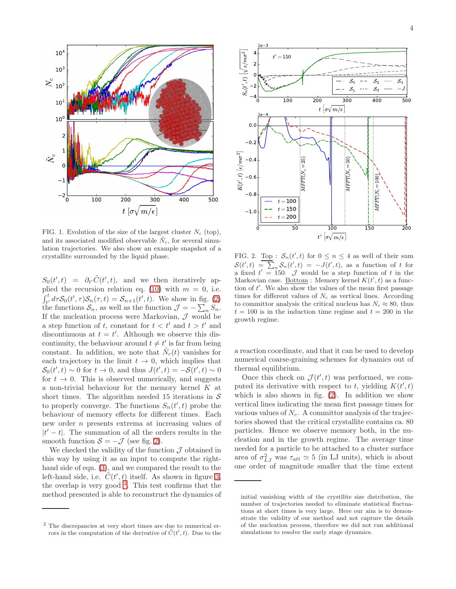

<span id="page-3-0"></span>FIG. 1. Evolution of the size of the largest cluster  $N_c$  (top), and its associated modified observable  $\tilde{N}_c$ , for several simulation trajectories. We also show an example snapshot of a crystallite surrounded by the liquid phase.

 $S_0(t',t) = \partial_{t'} \tilde{C}(t',t)$ , and we then iteratively ap-plied the recursion relation eq. [\(10\)](#page-1-2) with  $m = 0$ , i.e.  $\int_{t'}^{t} d\tau \mathcal{S}_0(t', \tau) \mathcal{S}_n(\tau, t) = \mathcal{S}_{n+1}(t', t)$ . We show in fig. [\(2\)](#page-3-1) the functions  $S_n$ , as well as the function  $\mathcal{J} = -\sum_n S_n$ . If the nucleation process were Markovian,  $\mathcal{J}$  would be a step function of t, constant for  $t < t'$  and  $t > t'$  and discontinuous at  $t = t'$ . Although we observe this discontinuity, the behaviour around  $t \neq t'$  is far from being constant. In addition, we note that  $\tilde{N}_c(t)$  vanishes for each trajectory in the limit  $t \to 0$ , which implies that  $S_0(t',t) \sim 0$  for  $t \to 0$ , and thus  $J(t',t) = -S(t',t) \sim 0$ for  $t \to 0$ . This is observed numerically, and suggests a non-trivial behaviour for the memory kernel  $K$  at short times. The algorithm needed 15 iterations in  $S$ to properly converge. The functions  $S_n(t',t)$  probe the behaviour of memory effects for different times. Each new order n presents extrema at increasing values of  $|t'-t|$ . The summation of all the orders results in the smooth function  $S = -\mathcal{J}$  (see fig. [2\)](#page-3-1).

We checked the validity of the function  $\mathcal J$  obtained in this way by using it as an input to compute the righthand side of eqn. [\(3\)](#page-1-1), and we compared the result to the left-hand side, i.e.  $\tilde{C}(t',t)$  itself. As shown in figure [3,](#page-4-23) the overlap is very good  $^2$  $^2$ . This test confirms that the method presented is able to reconstruct the dynamics of



<span id="page-3-1"></span>FIG. 2. Top :  $S_n(t',t)$  for  $0 \le n \le 4$  as well of their sum  $S(t',t) = \sum_{n} S_n(t',t) = -J(t',t)$ , as a function of t for a fixed  $t' = 150$ . J would be a step function of t in the Markovian case. Bottom: Memory kernel  $K(t', t)$  as a function of  $t'$ . We also show the values of the mean first passage times for different values of  $N_c$  as vertical lines. According to committor analysis the critical nucleus has  $N_c \approx 80$ , thus  $t = 100$  is in the induction time regime and  $t = 200$  in the growth regime.

a reaction coordinate, and that it can be used to develop numerical coarse-graining schemes for dynamics out of thermal equilibrium.

Once this check on  $\mathcal{J}(t',t)$  was performed, we computed its derivative with respect to t, yielding  $K(t', t)$ which is also shown in fig. [\(2\)](#page-3-1). In addition we show vertical lines indicating the mean first passage times for various values of  $N_c$ . A committor analysis of the trajectories showed that the critical crystallite contains ca. 80 particles. Hence we observe memory both, in the nucleation and in the growth regime. The average time needed for a particle to be attached to a cluster surface area of  $\sigma_{LJ}^2$  was  $\tau_{att} \simeq 5$  (in LJ units), which is about one order of magnitude smaller that the time extent

<span id="page-3-2"></span><sup>2</sup> The discrepancies at very short times are due to numerical errors in the computation of the derivative of  $\tilde{C}(t',t)$ . Due to the

initial vanishing width of the crystllite size distribution, the number of trajectories needed to eliminate statistical fluctuations at short times is very large. Here our aim is to demonstrate the validity of our method and not capture the details of the nucleation process, therefore we did not run additional simulations to resolve the early stage dynamics.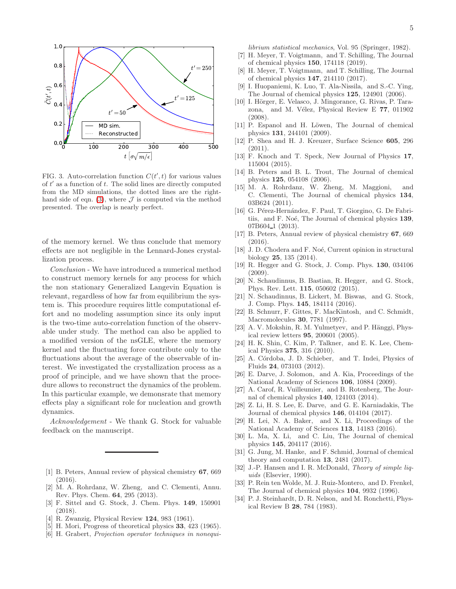

<span id="page-4-23"></span>FIG. 3. Auto-correlation function  $C(t', t)$  for various values of  $t'$  as a function of  $t$ . The solid lines are directly computed from the MD simulations, the dotted lines are the right-hand side of eqn. [\(3\)](#page-1-1), where  $\mathcal J$  is computed via the method presented. The overlap is nearly perfect.

of the memory kernel. We thus conclude that memory effects are not negligible in the Lennard-Jones crystallization process.

Conclusion - We have introduced a numerical method to construct memory kernels for any process for which the non stationary Generalized Langevin Equation is relevant, regardless of how far from equilibrium the system is. This procedure requires little computational effort and no modeling assumption since its only input is the two-time auto-correlation function of the observable under study. The method can also be applied to a modified version of the nsGLE, where the memory kernel and the fluctuating force contribute only to the fluctuations about the average of the observable of interest. We investigated the crystallization process as a proof of principle, and we have shown that the procedure allows to reconstruct the dynamics of the problem. In this particular example, we demonsrate that memory effects play a significant role for nucleation and growth dynamics.

Acknowledgement - We thank G. Stock for valuable feedback on the manuscript.

- <span id="page-4-0"></span>[1] B. Peters, Annual review of physical chemistry 67, 669 (2016).
- [2] M. A. Rohrdanz, W. Zheng, and C. Clementi, Annu. Rev. Phys. Chem. 64, 295 (2013).
- <span id="page-4-1"></span>[3] F. Sittel and G. Stock, J. Chem. Phys. 149, 150901 (2018).
- <span id="page-4-2"></span>[4] R. Zwanzig, Physical Review 124, 983 (1961).
- <span id="page-4-3"></span>[5] H. Mori, Progress of theoretical physics 33, 423 (1965).
- <span id="page-4-4"></span>[6] H. Grabert, Projection operator techniques in nonequi-

librium statistical mechanics, Vol. 95 (Springer, 1982).

- <span id="page-4-5"></span>[7] H. Meyer, T. Voigtmann, and T. Schilling, The Journal of chemical physics 150, 174118 (2019).
- <span id="page-4-6"></span>[8] H. Meyer, T. Voigtmann, and T. Schilling, The Journal of chemical physics 147, 214110 (2017).
- <span id="page-4-7"></span>[9] I. Huopaniemi, K. Luo, T. Ala-Nissila, and S.-C. Ying, The Journal of chemical physics 125, 124901 (2006).
- [10] I. Hörger, E. Velasco, J. Mingorance, G. Rivas, P. Tarazona, and M. Vélez, Physical Review E 77, 011902 (2008).
- [11] P. Espanol and H. Löwen, The Journal of chemical physics 131, 244101 (2009).
- [12] P. Shea and H. J. Kreuzer, Surface Science 605, 296  $(2011).$
- <span id="page-4-8"></span>[13] F. Knoch and T. Speck, New Journal of Physics 17, 115004 (2015).
- <span id="page-4-9"></span>[14] B. Peters and B. L. Trout, The Journal of chemical physics 125, 054108 (2006).
- [15] M. A. Rohrdanz, W. Zheng, M. Maggioni, and C. Clementi, The Journal of chemical physics 134, 03B624 (2011).
- [16] G. Pérez-Hernández, F. Paul, T. Giorgino, G. De Fabritiis, and F. Noé, The Journal of chemical physics 139, 07B604<sub>-1</sub> (2013).
- [17] B. Peters, Annual review of physical chemistry 67, 669 (2016).
- <span id="page-4-10"></span>[18] J. D. Chodera and F. Noé, Current opinion in structural biology 25, 135 (2014).
- <span id="page-4-11"></span>[19] R. Hegger and G. Stock, J. Comp. Phys. 130, 034106  $(2009)$
- [20] N. Schaudinnus, B. Bastian, R. Hegger, and G. Stock, Phys. Rev. Lett. 115, 050602 (2015).
- <span id="page-4-12"></span>[21] N. Schaudinnus, B. Lickert, M. Biswas, and G. Stock, J. Comp. Phys. 145, 184114 (2016).
- <span id="page-4-13"></span>[22] B. Schnurr, F. Gittes, F. MacKintosh, and C. Schmidt, Macromolecules 30, 7781 (1997).
- [23] A. V. Mokshin, R. M. Yulmetyev, and P. Hänggi, Physical review letters 95, 200601 (2005).
- [24] H. K. Shin, C. Kim, P. Talkner, and E. K. Lee, Chemical Physics 375, 316 (2010).
- <span id="page-4-14"></span>[25] A. Córdoba, J. D. Schieber, and T. Indei, Physics of Fluids 24, 073103 (2012).
- <span id="page-4-15"></span>[26] E. Darve, J. Solomon, and A. Kia, Proceedings of the National Academy of Sciences 106, 10884 (2009).
- [27] A. Carof, R. Vuilleumier, and B. Rotenberg, The Journal of chemical physics 140, 124103 (2014).
- <span id="page-4-16"></span>[28] Z. Li, H. S. Lee, E. Darve, and G. E. Karniadakis, The Journal of chemical physics 146, 014104 (2017).
- <span id="page-4-17"></span>[29] H. Lei, N. A. Baker, and X. Li, Proceedings of the National Academy of Sciences 113, 14183 (2016).
- <span id="page-4-18"></span>[30] L. Ma, X. Li, and C. Liu, The Journal of chemical physics 145, 204117 (2016).
- <span id="page-4-19"></span>[31] G. Jung, M. Hanke, and F. Schmid, Journal of chemical theory and computation 13, 2481 (2017).
- <span id="page-4-20"></span>[32] J.-P. Hansen and I. R. McDonald, *Theory of simple liq*uids (Elsevier, 1990).
- <span id="page-4-21"></span>[33] P. Rein ten Wolde, M. J. Ruiz-Montero, and D. Frenkel, The Journal of chemical physics 104, 9932 (1996).
- <span id="page-4-22"></span>[34] P. J. Steinhardt, D. R. Nelson, and M. Ronchetti, Physical Review B 28, 784 (1983).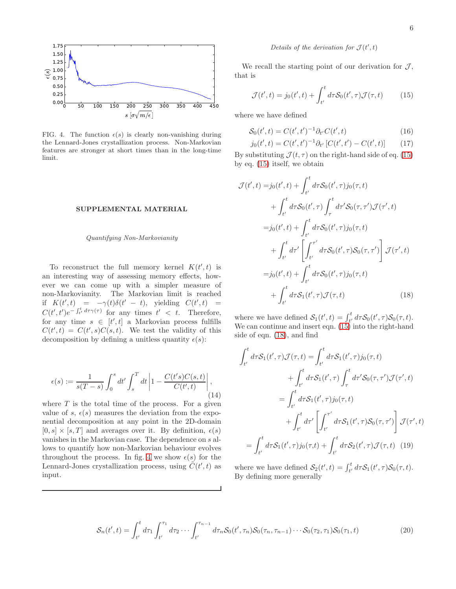

<span id="page-5-3"></span>FIG. 4. The function  $\epsilon(s)$  is clearly non-vanishing during the Lennard-Jones crystallization process. Non-Markovian features are stronger at short times than in the long-time limit.

## SUPPLEMENTAL MATERIAL

## Quantifying Non-Markovianity

To reconstruct the full memory kernel  $K(t',t)$  is an interesting way of assessing memory effects, however we can come up with a simpler measure of non-Markovianity. The Markovian limit is reached if  $K(t',t) = -\gamma(t)\delta(t'-t)$ , yielding  $C(t',t) =$  $C(t', t')e^{-\int_{t'}^{t} d\tau \gamma(\tau)}$  for any times  $t' < t$ . Therefore, for any time  $s \in [t', t]$  a Markovian process fulfills  $C(t',t) = C(t',s)C(s,t)$ . We test the validity of this decomposition by defining a unitless quantity  $\epsilon(s)$ :

$$
\epsilon(s) := \frac{1}{s(T-s)} \int_0^s dt' \int_s^T dt \left| 1 - \frac{C(t's)C(s,t)}{C(t',t)} \right|,
$$
\n(14)

where  $T$  is the total time of the process. For a given value of s,  $\epsilon(s)$  measures the deviation from the exponential decomposition at any point in the 2D-domain  $[0, s] \times [s, T]$  and averages over it. By definition,  $\epsilon(s)$ vanishes in the Markovian case. The dependence on s allows to quantify how non-Markovian behaviour evolves throughout the process. In fig. [4](#page-5-3) we show  $\epsilon(s)$  for the Lennard-Jones crystallization process, using  $\tilde{C}(t',t)$  as input.

## Details of the derivation for  $\mathcal{J}(t',t)$

We recall the starting point of our derivation for  $\mathcal{J}$ , that is

<span id="page-5-0"></span>
$$
\mathcal{J}(t',t) = j_0(t',t) + \int_{t'}^{t} d\tau \mathcal{S}_0(t',\tau) \mathcal{J}(\tau,t)
$$
 (15)

where we have defined

j0(t

$$
S_0(t',t) = C(t',t')^{-1} \partial_{t'} C(t',t)
$$
\n(16)

<span id="page-5-2"></span><span id="page-5-1"></span>
$$
i_0(t',t) = C(t',t')^{-1} \partial_{t'} \left[ C(t',t') - C(t',t) \right] \tag{17}
$$

By substituting  $\mathcal{J}(t, \tau)$  on the right-hand side of eq. [\(15\)](#page-5-0) by eq. [\(15\)](#page-5-0) itself, we obtain

$$
\mathcal{J}(t',t) = j_0(t',t) + \int_{t'}^{t} d\tau S_0(t',\tau) j_0(\tau,t) \n+ \int_{t'}^{t} d\tau S_0(t',\tau) \int_{\tau}^{t} d\tau' S_0(\tau,\tau') \mathcal{J}(\tau',t) \n= j_0(t',t) + \int_{t'}^{t} d\tau S_0(t',\tau) j_0(\tau,t) \n+ \int_{t'}^{t} d\tau' \left[ \int_{t'}^{\tau'} d\tau S_0(t',\tau) S_0(\tau,\tau') \right] \mathcal{J}(\tau',t) \n= j_0(t',t) + \int_{t'}^{t} d\tau S_0(t',\tau) j_0(\tau,t) \n+ \int_{t'}^{t} d\tau S_1(t',\tau) \mathcal{J}(\tau,t)
$$
\n(18)

<span id="page-5-4"></span>where we have defined  $S_1(t',t) = \int_{t'}^t d\tau S_0(t',\tau) S_0(\tau,t)$ . We can continue and insert eqn. [\(15\)](#page-5-0) into the right-hand side of eqn. [\(18\)](#page-5-4), and find

$$
\int_{t'}^{t} d\tau \mathcal{S}_1(t', \tau) \mathcal{J}(\tau, t) = \int_{t'}^{t} d\tau \mathcal{S}_1(t', \tau) j_0(\tau, t)
$$

$$
+ \int_{t'}^{t} d\tau \mathcal{S}_1(t', \tau) \int_{\tau}^{t} d\tau' \mathcal{S}_0(\tau, \tau') \mathcal{J}(\tau', t)
$$

$$
= \int_{t'}^{t} d\tau \mathcal{S}_1(t', \tau) j_0(\tau, t)
$$

$$
+ \int_{t'}^{t} d\tau' \left[ \int_{t'}^{\tau'} d\tau \mathcal{S}_1(t', \tau) \mathcal{S}_0(\tau, \tau') \right] \mathcal{J}(\tau', t)
$$

$$
= \int_{t'}^{t} d\tau \mathcal{S}_1(t', \tau) j_0(\tau, t) + \int_{t'}^{t} d\tau \mathcal{S}_2(t', \tau) \mathcal{J}(\tau, t) \tag{19}
$$

where we have defined  $S_2(t',t) = \int_{t'}^t d\tau S_1(t',\tau) S_0(\tau,t)$ . By defining more generally

$$
S_n(t',t) = \int_{t'}^t d\tau_1 \int_{t'}^{\tau_1} d\tau_2 \cdots \int_{t'}^{\tau_{n-1}} d\tau_n S_0(t',\tau_n) S_0(\tau_n,\tau_{n-1}) \cdots S_0(\tau_2,\tau_1) S_0(\tau_1,t)
$$
(20)